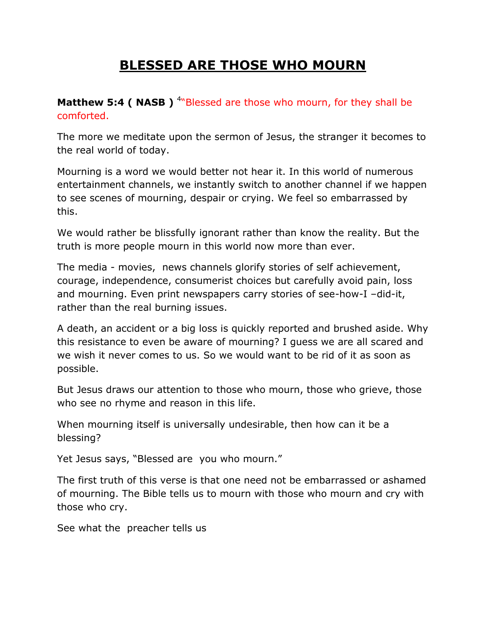## **BLESSED ARE THOSE WHO MOURN**

## **Matthew 5:4 ( NASB )** <sup>4</sup>"Blessed are those who mourn, for they shall be comforted.

The more we meditate upon the sermon of Jesus, the stranger it becomes to the real world of today.

Mourning is a word we would better not hear it. In this world of numerous entertainment channels, we instantly switch to another channel if we happen to see scenes of mourning, despair or crying. We feel so embarrassed by this.

We would rather be blissfully ignorant rather than know the reality. But the truth is more people mourn in this world now more than ever.

The media - movies, news channels glorify stories of self achievement, courage, independence, consumerist choices but carefully avoid pain, loss and mourning. Even print newspapers carry stories of see-how-I –did-it, rather than the real burning issues.

A death, an accident or a big loss is quickly reported and brushed aside. Why this resistance to even be aware of mourning? I guess we are all scared and we wish it never comes to us. So we would want to be rid of it as soon as possible.

But Jesus draws our attention to those who mourn, those who grieve, those who see no rhyme and reason in this life.

When mourning itself is universally undesirable, then how can it be a blessing?

Yet Jesus says, "Blessed are you who mourn."

The first truth of this verse is that one need not be embarrassed or ashamed of mourning. The Bible tells us to mourn with those who mourn and cry with those who cry.

See what the preacher tells us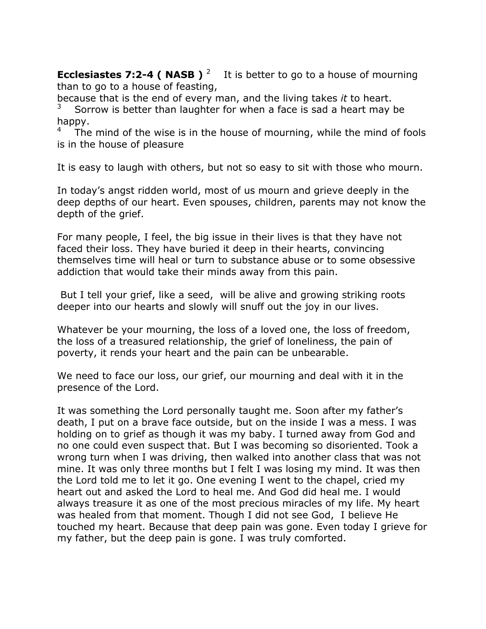**Ecclesiastes 7:2-4 ( NASB )** <sup>2</sup> It is better to go to a house of mourning than to go to a house of feasting,

because that is the end of every man, and the living takes *it* to heart.

3 Sorrow is better than laughter for when a face is sad a heart may be happy.

4 The mind of the wise is in the house of mourning, while the mind of fools is in the house of pleasure

It is easy to laugh with others, but not so easy to sit with those who mourn.

In today's angst ridden world, most of us mourn and grieve deeply in the deep depths of our heart. Even spouses, children, parents may not know the depth of the grief.

For many people, I feel, the big issue in their lives is that they have not faced their loss. They have buried it deep in their hearts, convincing themselves time will heal or turn to substance abuse or to some obsessive addiction that would take their minds away from this pain.

But I tell your grief, like a seed, will be alive and growing striking roots deeper into our hearts and slowly will snuff out the joy in our lives.

Whatever be your mourning, the loss of a loved one, the loss of freedom, the loss of a treasured relationship, the grief of loneliness, the pain of poverty, it rends your heart and the pain can be unbearable.

We need to face our loss, our grief, our mourning and deal with it in the presence of the Lord.

It was something the Lord personally taught me. Soon after my father's death, I put on a brave face outside, but on the inside I was a mess. I was holding on to grief as though it was my baby. I turned away from God and no one could even suspect that. But I was becoming so disoriented. Took a wrong turn when I was driving, then walked into another class that was not mine. It was only three months but I felt I was losing my mind. It was then the Lord told me to let it go. One evening I went to the chapel, cried my heart out and asked the Lord to heal me. And God did heal me. I would always treasure it as one of the most precious miracles of my life. My heart was healed from that moment. Though I did not see God, I believe He touched my heart. Because that deep pain was gone. Even today I grieve for my father, but the deep pain is gone. I was truly comforted.